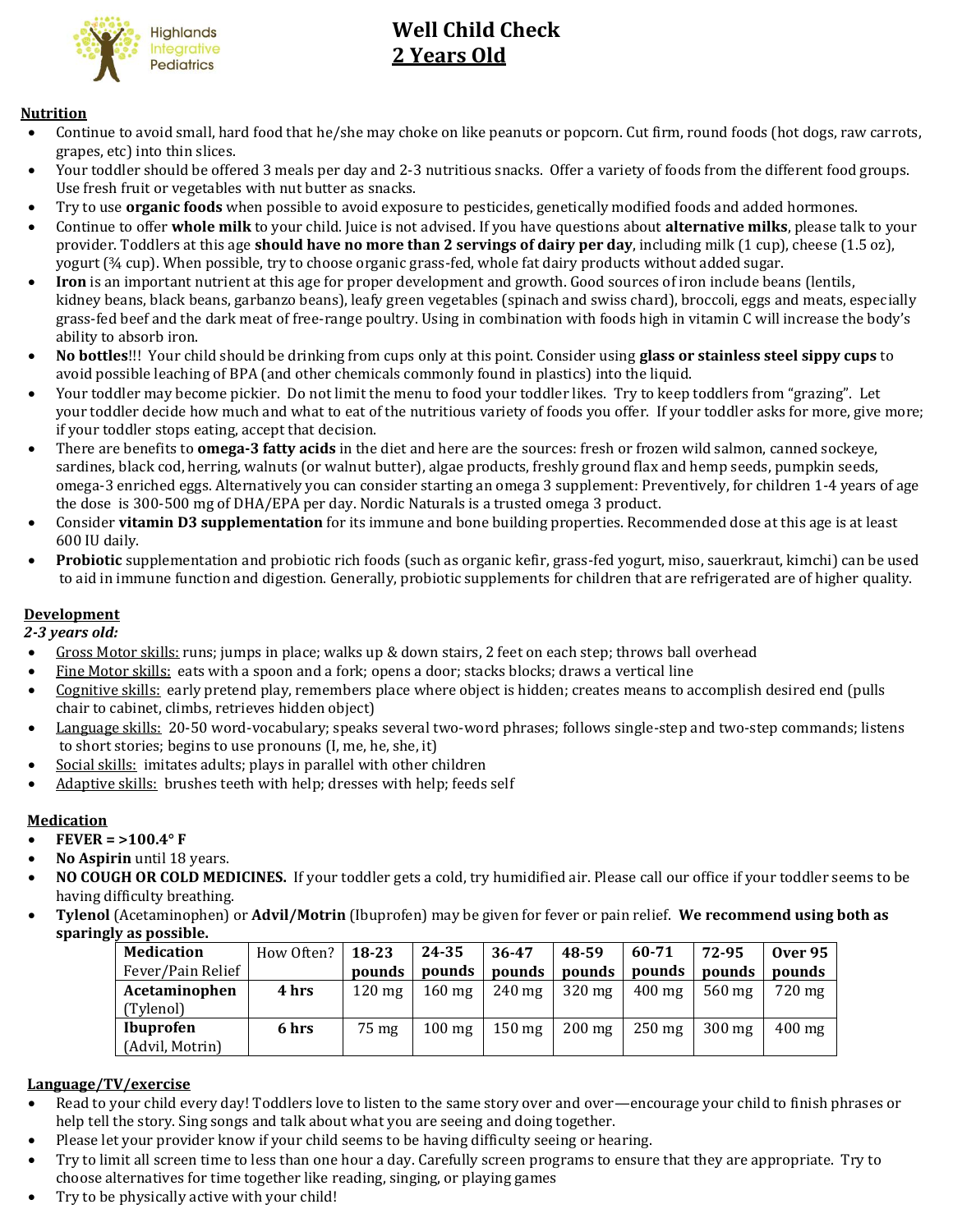

# **Well Child Check 2 Years Old**

# **Nutrition**

- Continue to avoid small, hard food that he/she may choke on like peanuts or popcorn. Cut firm, round foods (hot dogs, raw carrots, grapes, etc) into thin slices.
- Your toddler should be offered 3 meals per day and 2-3 nutritious snacks. Offer a variety of foods from the different food groups. Use fresh fruit or vegetables with nut butter as snacks.
- Try to use **organic foods** when possible to avoid exposure to pesticides, genetically modified foods and added hormones.
- Continue to offer **whole milk** to your child. Juice is not advised. If you have questions about **alternative milks**, please talk to your provider. Toddlers at this age **should have no more than 2 servings of dairy per day**, including milk (1 cup), cheese (1.5 oz), yogurt (¾ cup). When possible, try to choose organic grass-fed, whole fat dairy products without added sugar.
- **Iron** is an important nutrient at this age for proper development and growth. Good sources of iron include beans (lentils, kidney beans, black beans, garbanzo beans), leafy green vegetables (spinach and swiss chard), broccoli, eggs and meats, especially grass-fed beef and the dark meat of free-range poultry. Using in combination with foods high in vitamin C will increase the body's ability to absorb iron.
- **No bottles**!!! Your child should be drinking from cups only at this point. Consider using **glass or stainless steel sippy cups** to avoid possible leaching of BPA (and other chemicals commonly found in plastics) into the liquid.
- Your toddler may become pickier. Do not limit the menu to food your toddler likes. Try to keep toddlers from "grazing". Let your toddler decide how much and what to eat of the nutritious variety of foods you offer. If your toddler asks for more, give more; if your toddler stops eating, accept that decision.
- There are benefits to **omega-3 fatty acids** in the diet and here are the sources: fresh or frozen wild salmon, canned sockeye, sardines, black cod, herring, walnuts (or walnut butter), algae products, freshly ground flax and hemp seeds, pumpkin seeds, omega-3 enriched eggs. Alternatively you can consider starting an omega 3 supplement: Preventively, for children 1-4 years of age the dose is 300-500 mg of DHA/EPA per day. Nordic Naturals is a trusted omega 3 product.
- Consider **vitamin D3 supplementation** for its immune and bone building properties. Recommended dose at this age is at least 600 IU daily.
- **Probiotic** supplementation and probiotic rich foods (such as organic kefir, grass-fed yogurt, miso, sauerkraut, kimchi) can be used to aid in immune function and digestion. Generally, probiotic supplements for children that are refrigerated are of higher quality.

# **Development**

 *2-3 years old:*

- Gross Motor skills: runs; jumps in place; walks up & down stairs, 2 feet on each step; throws ball overhead
- Fine Motor skills: eats with a spoon and a fork; opens a door; stacks blocks; draws a vertical line
- Cognitive skills: early pretend play, remembers place where object is hidden; creates means to accomplish desired end (pulls chair to cabinet, climbs, retrieves hidden object)
- Language skills: 20-50 word-vocabulary; speaks several two-word phrases; follows single-step and two-step commands; listens to short stories; begins to use pronouns (I, me, he, she, it)
- Social skills: imitates adults; plays in parallel with other children
- Adaptive skills: brushes teeth with help; dresses with help; feeds self

# **Medication**

# **FEVER = >100.4° F**

- **No Aspirin** until 18 years.
- **NO COUGH OR COLD MEDICINES.** If your toddler gets a cold, try humidified air. Please call our office if your toddler seems to be having difficulty breathing.
- **Tylenol** (Acetaminophen) or **Advil/Motrin** (Ibuprofen) may be given for fever or pain relief. **We recommend using both as sparingly as possible.**

| <b>Medication</b> | How Often? | 18-23            | 24-35               | 36-47            | 48-59            | 60-71               | 72-95               | <b>Over 95</b>   |
|-------------------|------------|------------------|---------------------|------------------|------------------|---------------------|---------------------|------------------|
| Fever/Pain Relief |            | pounds           | pounds              | pounds           | pounds           | pounds              | pounds              | pounds           |
| Acetaminophen     | 4 hrs      | $120 \text{ mg}$ | $160 \text{ mg}$    | $240$ mg         | $320 \text{ mg}$ | $400 \,\mathrm{mg}$ | $560 \,\mathrm{mg}$ | $720 \text{ mg}$ |
| (Tylenol)         |            |                  |                     |                  |                  |                     |                     |                  |
| <b>Ibuprofen</b>  | 6 hrs      | 75 mg            | $100 \,\mathrm{mg}$ | $150 \text{ mg}$ | $200 \text{ mg}$ | $250 \text{ mg}$    | $300 \text{ mg}$    | $400 \text{ mg}$ |
| (Advil, Motrin)   |            |                  |                     |                  |                  |                     |                     |                  |

# **Language/TV/exercise**

- Read to your child every day! Toddlers love to listen to the same story over and over—encourage your child to finish phrases or help tell the story. Sing songs and talk about what you are seeing and doing together.
- Please let your provider know if your child seems to be having difficulty seeing or hearing.
- Try to limit all screen time to less than one hour a day. Carefully screen programs to ensure that they are appropriate. Try to choose alternatives for time together like reading, singing, or playing games
- Try to be physically active with your child!